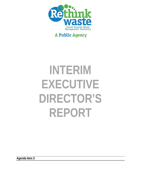

## **A Public Agency**

# **INTERIM EXECUTIVE DIRECTOR'S REPORT**

**Agenda Item 3**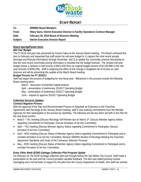

### **STAFF REPORT**

| To:      | <b>SBWMA Board Members</b>                                                     |
|----------|--------------------------------------------------------------------------------|
| From:    | Hilary Gans, Interim Executive Director & Facility Operations Contract Manager |
| Date:    | February 25, 2016 Board of Directors Meeting                                   |
| Subject: | Interim Executive Director Report                                              |

#### **Board Agenda/Packet Items**

#### *Mid-Year Budget*

The FY15/16 mid-year was presented by Farouk Fakira at the January Board meeting. The Board continued this item to February and requested that staff revise the mid-year budget to 1) capture the most recent actuals (tonnage and financial information) through December, and 2) to update the commodity revenue forecasting so that the most recent commodity pricing information is included into the budget forecast. The revised mid-year budget shows a variance in Net Income of \$921,628 (from an original budget amount of \$1,520,886 to the midyear forecast of \$599,258). Staff is analyzing the effect of this change in budgeted net of income on cash reserves and will be presenting this update at the March Board meeting.

#### **Budget Process for FY 2016/17.**

Staff has begun the process of budgeting for next fiscal year. Milestones in this process include the following Board meeting items:

March – discussion of potential Capital projects

April – presentation of preliminary 2016/17 Operating Budget

May – presentation of preliminary 2016/17 Operating Budget

June – request to approve 2016/17 Operating Budget

#### **Collection Services Updates**

#### *Contract Negation Process*

With the approval of the Plan and Recommended Process to Negotiate an Extension to the Franchise Agreements with Recology at the January Board meeting, staff is now seeking commitments from the Member Agencies for their participation in the process by April/May. The following are the key items set forth in the Plan for the next three months:

- March TAC meeting (Discuss Recology Self-Review due on March 3rd; Discuss Member Agency Notice regarding Commitment to Participate; Discuss formation of Ad Hoc Committee)
- April TAC meeting (Discuss Member Agency Notice regarding Commitment to Participate; Discuss formation of Ad Hoc Committee)
- April BOD meeting (Discuss Status of Member Agency Notice regarding Commitment to Participate and to consider formation of an Ad Hoc Committee; Receive SBWMA Review of Recology Meeting the Franchise Agreement Standards and Goals of the Contractor Selection Process)
- May BOD meeting (Discuss Status of Member Agency Notice regarding Commitment to Participate and to consider formation of Ad Hoc Committee)

#### *Every Other Week (EOW) Garbage Collection Pilot Program Update*

On February 16, the EOW Garbage collection pilot was brought before the San Mateo City Council. Staff made a presentation on the pilot and the Council provided valuable feedback. The item was tabled pending revised messaging and a formal letter of support for the pilot from the County Department of Health, who staff has worked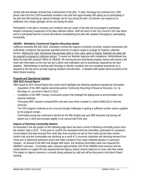closely with and already received their endorsement of the pilot. To date, Recology has received over 1,800 phone calls from the 5,200 households included in the pilot with approximately 840 opting out of participating in the pilot and 460 ordering an upsized Garbage cart for use during the pilot. (Customers can request at no additional cost a larger garbage cart for use during the pilot).

Participation in the pilot is voluntary and residents who are aware of the pilot are encouraged to participate, despite a temporary suspension of the data collection efforts. Staff will return to the City Council in the near future and it is anticipated that the Council will endorse reestablishing the pilot with updated messaging to participating households.

#### *AB1826 – Mandatory Commercial Organics Recycling Update*

California Assembly Bill (AB) 1826, mandatory commercial organics (compost) recycling, requires businesses and multi-family complexes that generate specified amounts of organic waste to arrange for organics collection service. Starting this April, businesses that generate eight or more cubic yards of organic materials per week will be required to arrange for collection service. To assist our Member Agencies with compliance, RethinkWaste has taken the lead with outreach efforts on AB1826. All commercial and multi-family property owners will receive a bill insert with information on the new law and a direct mail notification sent to businesses impacted by the April deadline. RethinkWaste is working with Recology to identify compliant and non-compliant businesses as is required by the law and to provide ongoing outreach and education. A detailed staff update will be provided at the March Board meeting.

#### **Program and Operational Updates**

#### *SBR 2015 Annual Report*

SBR issued its 2015 Annual Report this month which highlights the following significant operational information:

- Acquisition of the SBR majority ownership partner Community Recycling & Resource Recovery, Inc. by Recology Inc. occurred in March of 2015.
- Completion of the MRF Canopy construction project that enlarged the tipping area to accommodate more inbound materials.
- Third-party MRF volumes increased18% over prior year which resulted in a total of \$462,616 in host fee revenues.
- The VRS program continues to be a success though challenges in getting a sufficient number sorters supplied by the program remain.
- Commodity pricing has continued to decline for the fifth straight year and SBR forecasts that pricing will bottom-out in 2016 and increase slightly in the second half of the year.

#### *Impacts of Declining Commodity Markets*

As illustrated in the two graphs on the following page there has been a trend of declining commodity prices since the market's high in 2011. In the past six months this downward trend has intensified, particularly for containers. Conversations and data received from other Bay Area recyclers as well as from trade journal news articles confirm that recycled commodities are declining as a result of 1) economic slowdown and declining demand from China and 2) depressed petroleum prices that make containers from virgin materials (plastics in particular) cheaper. As disused in the Mid-Year Budget staff report, this declining commodity value has impacted the SBWMA's revenues. Commodity sales compose approximately 10% of the SBWMA total revenues and the market decline of roughly 9% has required that the Agency reduce reserve balances to cover cash flow needs. The impact on Agency reserves is currently being analyzed by staff and will be discussed in the March Board meeting.